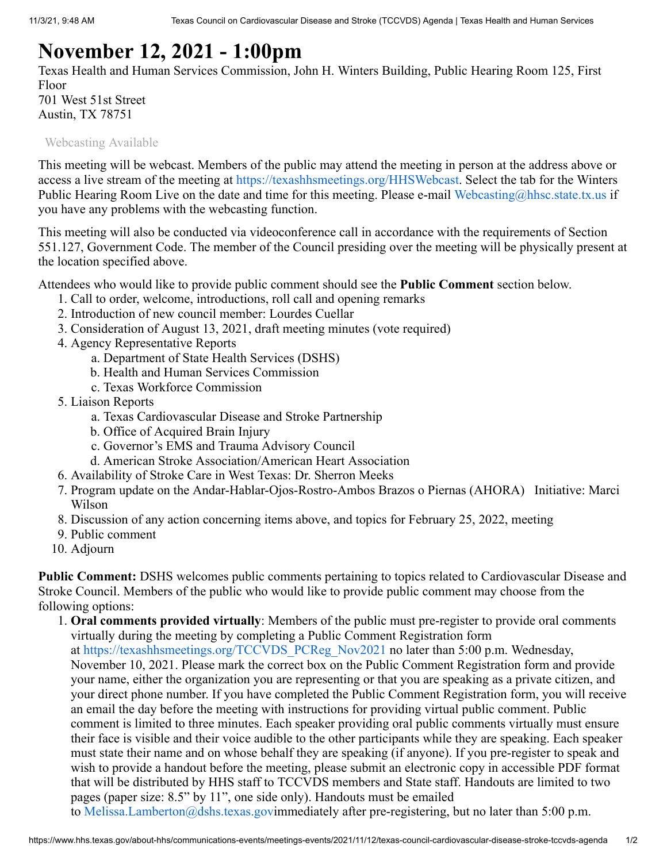## **November 12, 2021 - 1:00pm**

Texas Health and Human Services Commission, John H. Winters Building, Public Hearing Room 125, First Floor 701 West 51st Street

Austin, TX 78751

[Webcasting Available](https://www.hhs.texas.gov/about-hhs/communications-events/live-archived-meetings)

This meeting will be webcast. Members of the public may attend the meeting in person at the address above or access a live stream of the meeting at [https://texashhsmeetings.org/HHSWebcast](https://www.hhs.texas.gov/about-hhs/communications-events/live-archived-meetings). Select the tab for the Winters Public Hearing Room Live on the date and time for this meeting. Please e-mail [Webcasting@hhsc.state.tx.us](mailto:Webcasting@hhsc.state.tx.us) if you have any problems with the webcasting function.

This meeting will also be conducted via videoconference call in accordance with the requirements of Section 551.127, Government Code. The member of the Council presiding over the meeting will be physically present at the location specified above.

Attendees who would like to provide public comment should see the **Public Comment** section below.

- 1. Call to order, welcome, introductions, roll call and opening remarks
- 2. Introduction of new council member: Lourdes Cuellar
- 3. Consideration of August 13, 2021, draft meeting minutes (vote required)
- 4. Agency Representative Reports
	- a. Department of State Health Services (DSHS)
	- b. Health and Human Services Commission
	- c. Texas Workforce Commission
- 5. Liaison Reports
	- a. Texas Cardiovascular Disease and Stroke Partnership
	- b. Office of Acquired Brain Injury
	- c. Governor's EMS and Trauma Advisory Council
	- d. American Stroke Association/American Heart Association
- 6. Availability of Stroke Care in West Texas: Dr. Sherron Meeks
- 7. Program update on the Andar-Hablar-Ojos-Rostro-Ambos Brazos o Piernas (AHORA) Initiative: Marci Wilson
- 8. Discussion of any action concerning items above, and topics for February 25, 2022, meeting
- 9. Public comment
- 10. Adjourn

**Public Comment:** DSHS welcomes public comments pertaining to topics related to Cardiovascular Disease and Stroke Council. Members of the public who would like to provide public comment may choose from the following options:

1. **Oral comments provided virtually**: Members of the public must pre-register to provide oral comments virtually during the meeting by completing a Public Comment Registration form at [https://texashhsmeetings.org/TCCVDS\\_PCReg\\_Nov2021](https://texashhsmeetings.org/TCCVDS_PCReg_Nov2021) no later than 5:00 p.m. Wednesday, November 10, 2021. Please mark the correct box on the Public Comment Registration form and provide your name, either the organization you are representing or that you are speaking as a private citizen, and your direct phone number. If you have completed the Public Comment Registration form, you will receive an email the day before the meeting with instructions for providing virtual public comment. Public comment is limited to three minutes. Each speaker providing oral public comments virtually must ensure their face is visible and their voice audible to the other participants while they are speaking. Each speaker must state their name and on whose behalf they are speaking (if anyone). If you pre-register to speak and wish to provide a handout before the meeting, please submit an electronic copy in accessible PDF format that will be distributed by HHS staff to TCCVDS members and State staff. Handouts are limited to two pages (paper size: 8.5" by 11", one side only). Handouts must be emailed to [Melissa.Lamberton@dshs.texas.gov](mailto:Melissa.Lamberton@dshs.texas.gov)immediately after pre-registering, but no later than 5:00 p.m.